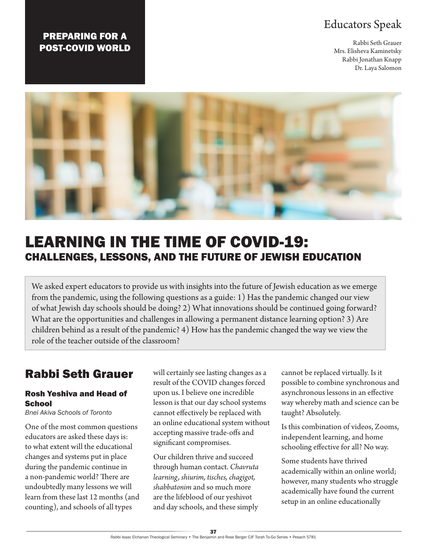### Educators Speak

Rabbi Seth Grauer Mrs. Elisheva Kaminetsky Rabbi Jonathan Knapp Dr. Laya Salomon

### PREPARING FOR A POST-COVID WORLD



# LEARNING IN THE TIME OF COVID-19: CHALLENGES, LESSONS, AND THE FUTURE OF JEWISH EDUCATION

We asked expert educators to provide us with insights into the future of Jewish education as we emerge from the pandemic, using the following questions as a guide: 1) Has the pandemic changed our view of what Jewish day schools should be doing? 2) What innovations should be continued going forward? What are the opportunities and challenges in allowing a permanent distance learning option? 3) Are children behind as a result of the pandemic? 4) How has the pandemic changed the way we view the role of the teacher outside of the classroom?

## Rabbi Seth Grauer

#### Rosh Yeshiva and Head of **School**

*Bnei Akiva Schools of Toronto*

One of the most common questions educators are asked these days is: to what extent will the educational changes and systems put in place during the pandemic continue in a non-pandemic world? There are undoubtedly many lessons we will learn from these last 12 months (and counting), and schools of all types

will certainly see lasting changes as a result of the COVID changes forced upon us. I believe one incredible lesson is that our day school systems cannot effectively be replaced with an online educational system without accepting massive trade-offs and significant compromises.

Our children thrive and succeed through human contact. *Chavruta learning, shiurim, tisches, chagigot, shabbatonim* and so much more are the lifeblood of our yeshivot and day schools, and these simply

cannot be replaced virtually. Is it possible to combine synchronous and asynchronous lessons in an effective way whereby math and science can be taught? Absolutely.

Is this combination of videos, Zooms, independent learning, and home schooling effective for all? No way.

Some students have thrived academically within an online world; however, many students who struggle academically have found the current setup in an online educationally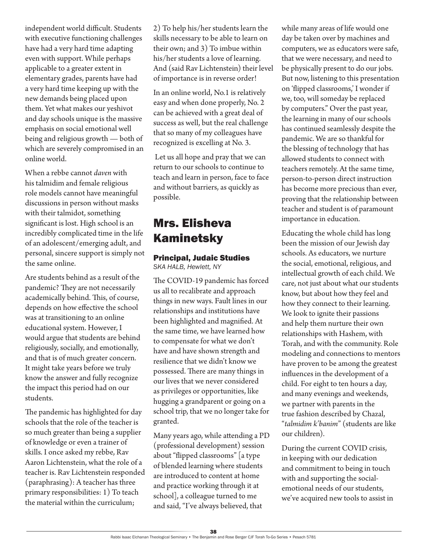independent world difficult. Students with executive functioning challenges have had a very hard time adapting even with support. While perhaps applicable to a greater extent in elementary grades, parents have had a very hard time keeping up with the new demands being placed upon them. Yet what makes our yeshivot and day schools unique is the massive emphasis on social emotional well being and religious growth — both of which are severely compromised in an online world.

When a rebbe cannot *daven* with his talmidim and female religious role models cannot have meaningful discussions in person without masks with their talmidot, something significant is lost. High school is an incredibly complicated time in the life of an adolescent/emerging adult, and personal, sincere support is simply not the same online.

Are students behind as a result of the pandemic? They are not necessarily academically behind. This, of course, depends on how effective the school was at transitioning to an online educational system. However, I would argue that students are behind religiously, socially, and emotionally, and that is of much greater concern. It might take years before we truly know the answer and fully recognize the impact this period had on our students.

The pandemic has highlighted for day schools that the role of the teacher is so much greater than being a supplier of knowledge or even a trainer of skills. I once asked my rebbe, Rav Aaron Lichtenstein, what the role of a teacher is. Rav Lichtenstein responded (paraphrasing): A teacher has three primary responsibilities: 1) To teach the material within the curriculum;

2) To help his/her students learn the skills necessary to be able to learn on their own; and 3) To imbue within his/her students a love of learning. And (said Rav Lichtenstein) their level of importance is in reverse order!

In an online world, No.1 is relatively easy and when done properly, No. 2 can be achieved with a great deal of success as well, but the real challenge that so many of my colleagues have recognized is excelling at No. 3.

 Let us all hope and pray that we can return to our schools to continue to teach and learn in person, face to face and without barriers, as quickly as possible.

## Mrs. Elisheva Kaminetsky

#### Principal, Judaic Studies

*SKA HALB, Hewlett, NY*

The COVID-19 pandemic has forced us all to recalibrate and approach things in new ways. Fault lines in our relationships and institutions have been highlighted and magnified. At the same time, we have learned how to compensate for what we don't have and have shown strength and resilience that we didn't know we possessed. There are many things in our lives that we never considered as privileges or opportunities, like hugging a grandparent or going on a school trip, that we no longer take for granted.

Many years ago, while attending a PD (professional development) session about "flipped classrooms" [a type of blended learning where students are introduced to content at home and practice working through it at school], a colleague turned to me and said, "I've always believed, that

while many areas of life would one day be taken over by machines and computers, we as educators were safe, that we were necessary, and need to be physically present to do our jobs. But now, listening to this presentation on 'flipped classrooms,' I wonder if we, too, will someday be replaced by computers." Over the past year, the learning in many of our schools has continued seamlessly despite the pandemic. We are so thankful for the blessing of technology that has allowed students to connect with teachers remotely. At the same time, person-to-person direct instruction has become more precious than ever, proving that the relationship between teacher and student is of paramount importance in education.

Educating the whole child has long been the mission of our Jewish day schools. As educators, we nurture the social, emotional, religious, and intellectual growth of each child. We care, not just about what our students know, but about how they feel and how they connect to their learning. We look to ignite their passions and help them nurture their own relationships with Hashem, with Torah, and with the community. Role modeling and connections to mentors have proven to be among the greatest influences in the development of a child. For eight to ten hours a day, and many evenings and weekends, we partner with parents in the true fashion described by Chazal, "*talmidim k'banim*" (students are like our children).

During the current COVID crisis, in keeping with our dedication and commitment to being in touch with and supporting the socialemotional needs of our students, we've acquired new tools to assist in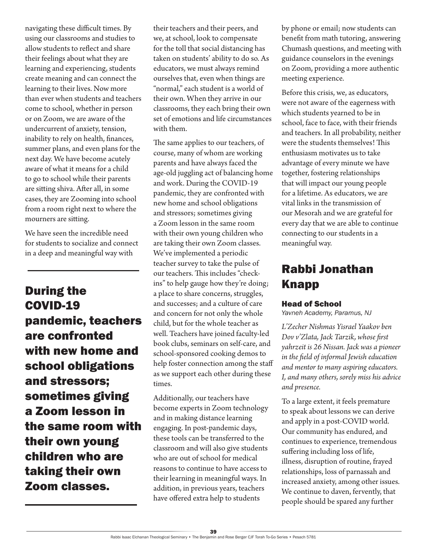navigating these difficult times. By using our classrooms and studies to allow students to reflect and share their feelings about what they are learning and experiencing, students create meaning and can connect the learning to their lives. Now more than ever when students and teachers come to school, whether in person or on Zoom, we are aware of the undercurrent of anxiety, tension, inability to rely on health, finances, summer plans, and even plans for the next day. We have become acutely aware of what it means for a child to go to school while their parents are sitting shiva. After all, in some cases, they are Zooming into school from a room right next to where the mourners are sitting.

We have seen the incredible need for students to socialize and connect in a deep and meaningful way with

During the COVID-19 pandemic, teachers are confronted with new home and school obligations and stressors; sometimes giving a Zoom lesson in the same room with their own young children who are taking their own Zoom classes.

their teachers and their peers, and we, at school, look to compensate for the toll that social distancing has taken on students' ability to do so. As educators, we must always remind ourselves that, even when things are "normal," each student is a world of their own. When they arrive in our classrooms, they each bring their own set of emotions and life circumstances with them.

The same applies to our teachers, of course, many of whom are working parents and have always faced the age-old juggling act of balancing home and work. During the COVID-19 pandemic, they are confronted with new home and school obligations and stressors; sometimes giving a Zoom lesson in the same room with their own young children who are taking their own Zoom classes. We've implemented a periodic teacher survey to take the pulse of our teachers. This includes "checkins" to help gauge how they're doing; a place to share concerns, struggles, and successes; and a culture of care and concern for not only the whole child, but for the whole teacher as well. Teachers have joined faculty-led book clubs, seminars on self-care, and school-sponsored cooking demos to help foster connection among the staff as we support each other during these times.

Additionally, our teachers have become experts in Zoom technology and in making distance learning engaging. In post-pandemic days, these tools can be transferred to the classroom and will also give students who are out of school for medical reasons to continue to have access to their learning in meaningful ways. In addition, in previous years, teachers have offered extra help to students

by phone or email; now students can benefit from math tutoring, answering Chumash questions, and meeting with guidance counselors in the evenings on Zoom, providing a more authentic meeting experience.

Before this crisis, we, as educators, were not aware of the eagerness with which students yearned to be in school, face to face, with their friends and teachers. In all probability, neither were the students themselves! This enthusiasm motivates us to take advantage of every minute we have together, fostering relationships that will impact our young people for a lifetime. As educators, we are vital links in the transmission of our Mesorah and we are grateful for every day that we are able to continue connecting to our students in a meaningful way.

## Rabbi Jonathan Knapp

#### Head of School

*Yavneh Academy, Paramus, NJ*

*L'Zecher Nishmas Yisrael Yaakov ben Dov v'Zlata, Jack Tarzik, whose first yahrzeit is 26 Nissan. Jack was a pioneer in the field of informal Jewish education and mentor to many aspiring educators. I, and many others, sorely miss his advice and presence.*

To a large extent, it feels premature to speak about lessons we can derive and apply in a post-COVID world. Our community has endured, and continues to experience, tremendous suffering including loss of life, illness, disruption of routine, frayed relationships, loss of parnassah and increased anxiety, among other issues. We continue to daven, fervently, that people should be spared any further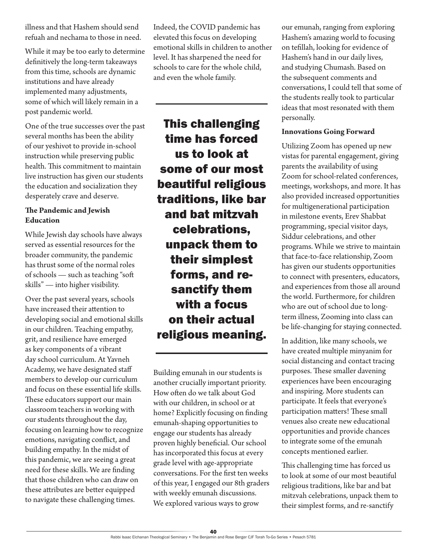illness and that Hashem should send refuah and nechama to those in need.

While it may be too early to determine definitively the long-term takeaways from this time, schools are dynamic institutions and have already implemented many adjustments, some of which will likely remain in a post pandemic world.

One of the true successes over the past several months has been the ability of our yeshivot to provide in-school instruction while preserving public health. This commitment to maintain live instruction has given our students the education and socialization they desperately crave and deserve.

#### **The Pandemic and Jewish Education**

While Jewish day schools have always served as essential resources for the broader community, the pandemic has thrust some of the normal roles of schools — such as teaching "soft skills" — into higher visibility.

Over the past several years, schools have increased their attention to developing social and emotional skills in our children. Teaching empathy, grit, and resilience have emerged as key components of a vibrant day school curriculum. At Yavneh Academy, we have designated staff members to develop our curriculum and focus on these essential life skills. These educators support our main classroom teachers in working with our students throughout the day, focusing on learning how to recognize emotions, navigating conflict, and building empathy. In the midst of this pandemic, we are seeing a great need for these skills. We are finding that those children who can draw on these attributes are better equipped to navigate these challenging times.

Indeed, the COVID pandemic has elevated this focus on developing emotional skills in children to another level. It has sharpened the need for schools to care for the whole child, and even the whole family.

This challenging time has forced us to look at some of our most beautiful religious traditions, like bar and bat mitzvah celebrations, unpack them to their simplest forms, and resanctify them with a focus on their actual religious meaning.

Building emunah in our students is another crucially important priority. How often do we talk about God with our children, in school or at home? Explicitly focusing on finding emunah-shaping opportunities to engage our students has already proven highly beneficial. Our school has incorporated this focus at every grade level with age-appropriate conversations. For the first ten weeks of this year, I engaged our 8th graders with weekly emunah discussions. We explored various ways to grow

our emunah, ranging from exploring Hashem's amazing world to focusing on tefillah, looking for evidence of Hashem's hand in our daily lives, and studying Chumash. Based on the subsequent comments and conversations, I could tell that some of the students really took to particular ideas that most resonated with them personally.

#### **Innovations Going Forward**

Utilizing Zoom has opened up new vistas for parental engagement, giving parents the availability of using Zoom for school-related conferences, meetings, workshops, and more. It has also provided increased opportunities for multigenerational participation in milestone events, Erev Shabbat programming, special visitor days, Siddur celebrations, and other programs. While we strive to maintain that face-to-face relationship, Zoom has given our students opportunities to connect with presenters, educators, and experiences from those all around the world. Furthermore, for children who are out of school due to longterm illness, Zooming into class can be life-changing for staying connected.

In addition, like many schools, we have created multiple minyanim for social distancing and contact tracing purposes. These smaller davening experiences have been encouraging and inspiring. More students can participate. It feels that everyone's participation matters! These small venues also create new educational opportunities and provide chances to integrate some of the emunah concepts mentioned earlier.

This challenging time has forced us to look at some of our most beautiful religious traditions, like bar and bat mitzvah celebrations, unpack them to their simplest forms, and re-sanctify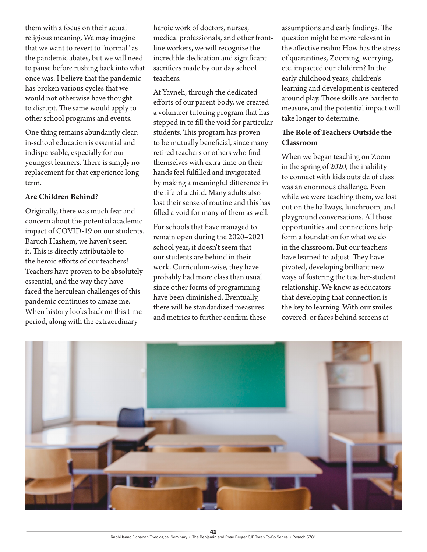them with a focus on their actual religious meaning. We may imagine that we want to revert to "normal" as the pandemic abates, but we will need to pause before rushing back into what once was. I believe that the pandemic has broken various cycles that we would not otherwise have thought to disrupt. The same would apply to other school programs and events.

One thing remains abundantly clear: in-school education is essential and indispensable, especially for our youngest learners. There is simply no replacement for that experience long term.

#### **Are Children Behind?**

Originally, there was much fear and concern about the potential academic impact of COVID-19 on our students. Baruch Hashem, we haven't seen it. This is directly attributable to the heroic efforts of our teachers! Teachers have proven to be absolutely essential, and the way they have faced the herculean challenges of this pandemic continues to amaze me. When history looks back on this time period, along with the extraordinary

heroic work of doctors, nurses, medical professionals, and other frontline workers, we will recognize the incredible dedication and significant sacrifices made by our day school teachers.

At Yavneh, through the dedicated efforts of our parent body, we created a volunteer tutoring program that has stepped in to fill the void for particular students. This program has proven to be mutually beneficial, since many retired teachers or others who find themselves with extra time on their hands feel fulfilled and invigorated by making a meaningful difference in the life of a child. Many adults also lost their sense of routine and this has filled a void for many of them as well.

For schools that have managed to remain open during the 2020–2021 school year, it doesn't seem that our students are behind in their work. Curriculum-wise, they have probably had more class than usual since other forms of programming have been diminished. Eventually, there will be standardized measures and metrics to further confirm these assumptions and early findings. The question might be more relevant in the affective realm: How has the stress of quarantines, Zooming, worrying, etc. impacted our children? In the early childhood years, children's learning and development is centered around play. Those skills are harder to measure, and the potential impact will take longer to determine.

#### **The Role of Teachers Outside the Classroom**

When we began teaching on Zoom in the spring of 2020, the inability to connect with kids outside of class was an enormous challenge. Even while we were teaching them, we lost out on the hallways, lunchroom, and playground conversations. All those opportunities and connections help form a foundation for what we do in the classroom. But our teachers have learned to adjust. They have pivoted, developing brilliant new ways of fostering the teacher-student relationship. We know as educators that developing that connection is the key to learning. With our smiles covered, or faces behind screens at

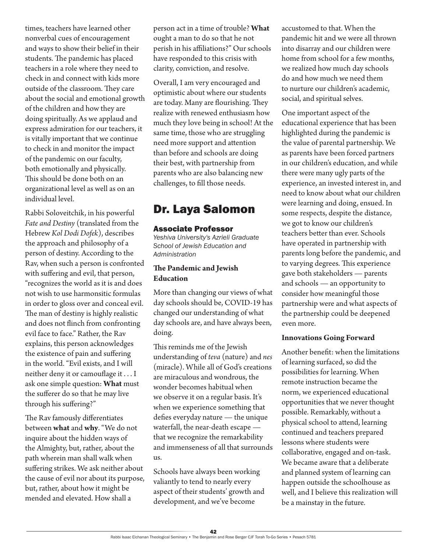times, teachers have learned other nonverbal cues of encouragement and ways to show their belief in their students. The pandemic has placed teachers in a role where they need to check in and connect with kids more outside of the classroom. They care about the social and emotional growth of the children and how they are doing spiritually. As we applaud and express admiration for our teachers, it is vitally important that we continue to check in and monitor the impact of the pandemic on our faculty, both emotionally and physically. This should be done both on an organizational level as well as on an individual level.

Rabbi Soloveitchik, in his powerful *Fate and Destiny* (translated from the Hebrew *Kol Dodi Dofek*), describes the approach and philosophy of a person of destiny. According to the Rav, when such a person is confronted with suffering and evil, that person, "recognizes the world as it is and does not wish to use harmonsitic formulas in order to gloss over and conceal evil. The man of destiny is highly realistic and does not flinch from confronting evil face to face." Rather, the Rav explains, this person acknowledges the existence of pain and suffering in the world. "Evil exists, and I will neither deny it or camouflage it . . . I ask one simple question: **What** must the sufferer do so that he may live through his suffering?"

The Rav famously differentiates between **what** and **why**. "We do not inquire about the hidden ways of the Almighty, but, rather, about the path wherein man shall walk when suffering strikes. We ask neither about the cause of evil nor about its purpose, but, rather, about how it might be mended and elevated. How shall a

person act in a time of trouble? **What** ought a man to do so that he not perish in his affiliations?" Our schools have responded to this crisis with clarity, conviction, and resolve.

Overall, I am very encouraged and optimistic about where our students are today. Many are flourishing. They realize with renewed enthusiasm how much they love being in school! At the same time, those who are struggling need more support and attention than before and schools are doing their best, with partnership from parents who are also balancing new challenges, to fill those needs.

### Dr. Laya Salomon

#### Associate Professor

*Yeshiva University's Azrieli Graduate School of Jewish Education and Administration*

#### **The Pandemic and Jewish Education**

More than changing our views of what day schools should be, COVID-19 has changed our understanding of what day schools are, and have always been, doing.

This reminds me of the Jewish understanding of *teva* (nature) and *nes* (miracle). While all of God's creations are miraculous and wondrous, the wonder becomes habitual when we observe it on a regular basis. It's when we experience something that defies everyday nature — the unique waterfall, the near-death escape that we recognize the remarkability and immenseness of all that surrounds us.

Schools have always been working valiantly to tend to nearly every aspect of their students' growth and development, and we've become

accustomed to that. When the pandemic hit and we were all thrown into disarray and our children were home from school for a few months, we realized how much day schools do and how much we need them to nurture our children's academic, social, and spiritual selves.

One important aspect of the educational experience that has been highlighted during the pandemic is the value of parental partnership. We as parents have been forced partners in our children's education, and while there were many ugly parts of the experience, an invested interest in, and need to know about what our children were learning and doing, ensued. In some respects, despite the distance, we got to know our children's teachers better than ever. Schools have operated in partnership with parents long before the pandemic, and to varying degrees. This experience gave both stakeholders — parents and schools — an opportunity to consider how meaningful those partnership were and what aspects of the partnership could be deepened even more.

#### **Innovations Going Forward**

Another benefit: when the limitations of learning surfaced, so did the possibilities for learning. When remote instruction became the norm, we experienced educational opportunities that we never thought possible. Remarkably, without a physical school to attend, learning continued and teachers prepared lessons where students were collaborative, engaged and on-task. We became aware that a deliberate and planned system of learning can happen outside the schoolhouse as well, and I believe this realization will be a mainstay in the future.